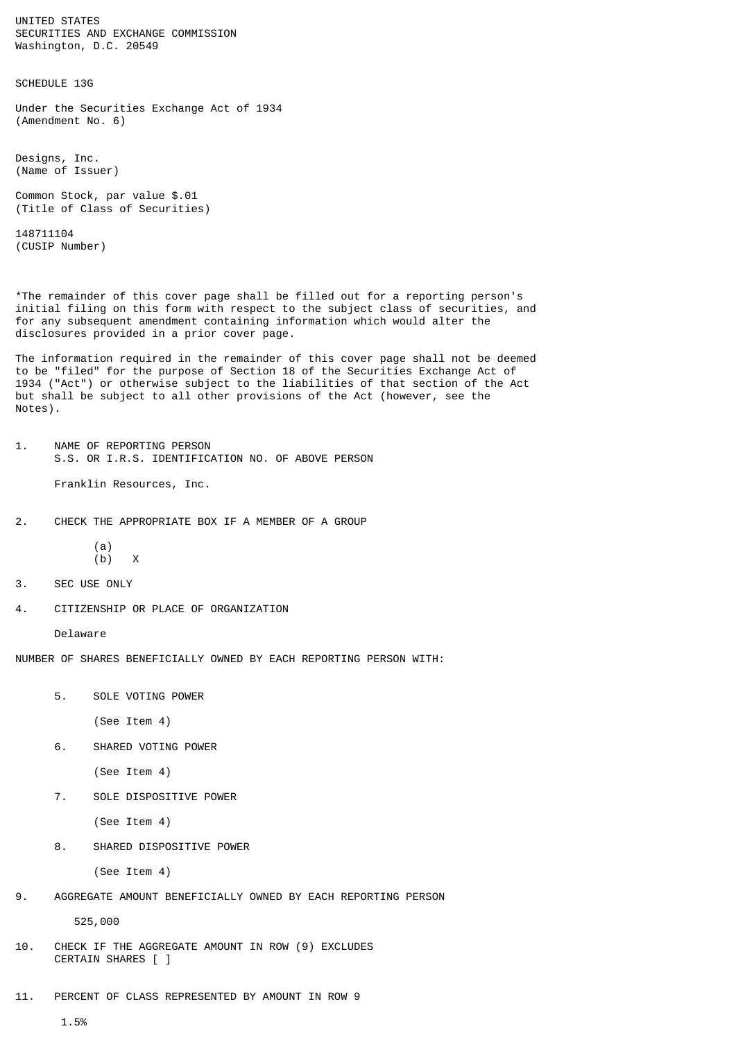UNITED STATES SECURITIES AND EXCHANGE COMMISSION Washington, D.C. 20549

SCHEDULE 13G

Under the Securities Exchange Act of 1934 (Amendment No. 6)

Designs, Inc. (Name of Issuer)

Common Stock, par value \$.01 (Title of Class of Securities)

148711104 (CUSIP Number)

\*The remainder of this cover page shall be filled out for a reporting person's initial filing on this form with respect to the subject class of securities, and for any subsequent amendment containing information which would alter the disclosures provided in a prior cover page.

The information required in the remainder of this cover page shall not be deemed to be "filed" for the purpose of Section 18 of the Securities Exchange Act of 1934 ("Act") or otherwise subject to the liabilities of that section of the Act but shall be subject to all other provisions of the Act (however, see the Notes).

- 1. NAME OF REPORTING PERSON S.S. OR I.R.S. IDENTIFICATION NO. OF ABOVE PERSON Franklin Resources, Inc.
- 2. CHECK THE APPROPRIATE BOX IF A MEMBER OF A GROUP
	- (a)  $(b)$   $x$
- 3. SEC USE ONLY
- 4. CITIZENSHIP OR PLACE OF ORGANIZATION

Delaware

NUMBER OF SHARES BENEFICIALLY OWNED BY EACH REPORTING PERSON WITH:

5. SOLE VOTING POWER

(See Item 4)

6. SHARED VOTING POWER

(See Item 4)

7. SOLE DISPOSITIVE POWER

(See Item 4)

8. SHARED DISPOSITIVE POWER

(See Item 4)

9. AGGREGATE AMOUNT BENEFICIALLY OWNED BY EACH REPORTING PERSON

525,000

- 10. CHECK IF THE AGGREGATE AMOUNT IN ROW (9) EXCLUDES CERTAIN SHARES [ ]
- 11. PERCENT OF CLASS REPRESENTED BY AMOUNT IN ROW 9

1.5%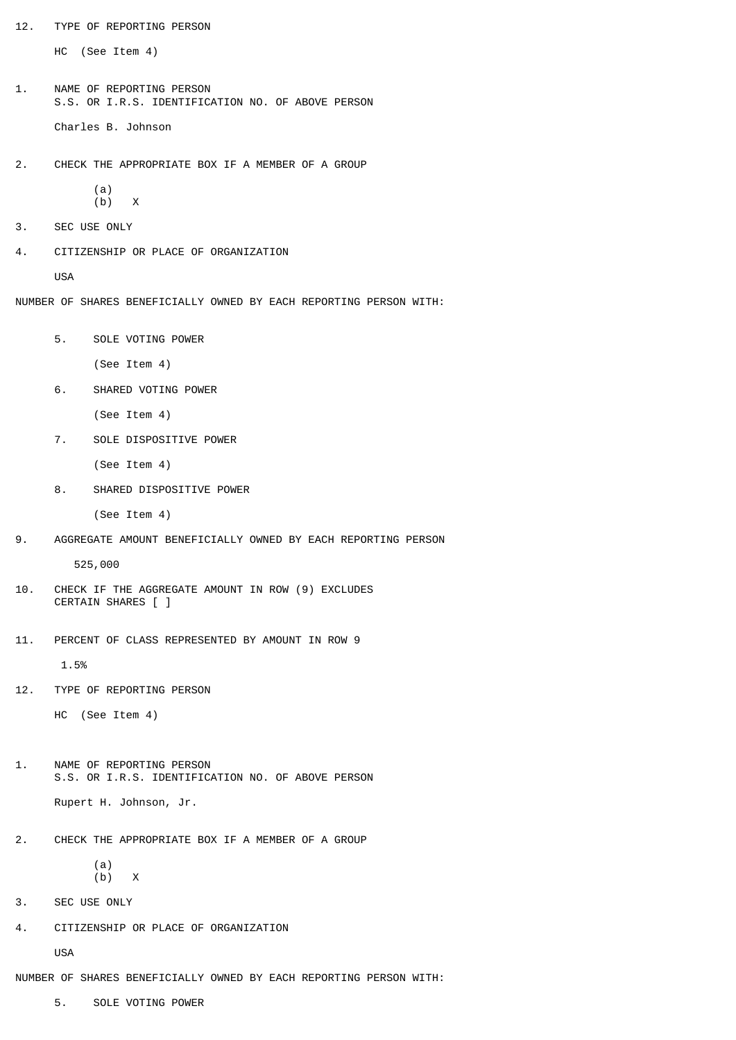12. TYPE OF REPORTING PERSON

HC (See Item 4)

1. NAME OF REPORTING PERSON S.S. OR I.R.S. IDENTIFICATION NO. OF ABOVE PERSON Charles B. Johnson

2. CHECK THE APPROPRIATE BOX IF A MEMBER OF A GROUP

 (a)  $(b)$  X

- 3. SEC USE ONLY
- 4. CITIZENSHIP OR PLACE OF ORGANIZATION

USA

NUMBER OF SHARES BENEFICIALLY OWNED BY EACH REPORTING PERSON WITH:

5. SOLE VOTING POWER

(See Item 4)

- 6. SHARED VOTING POWER
	- (See Item 4)
- 7. SOLE DISPOSITIVE POWER

(See Item 4)

8. SHARED DISPOSITIVE POWER

(See Item 4)

9. AGGREGATE AMOUNT BENEFICIALLY OWNED BY EACH REPORTING PERSON

525,000

- 10. CHECK IF THE AGGREGATE AMOUNT IN ROW (9) EXCLUDES CERTAIN SHARES [ ]
- 11. PERCENT OF CLASS REPRESENTED BY AMOUNT IN ROW 9

1.5%

12. TYPE OF REPORTING PERSON

HC (See Item 4)

- 1. NAME OF REPORTING PERSON S.S. OR I.R.S. IDENTIFICATION NO. OF ABOVE PERSON Rupert H. Johnson, Jr.
- 2. CHECK THE APPROPRIATE BOX IF A MEMBER OF A GROUP

```
 (a)
(b) x
```
- 3. SEC USE ONLY
- 4. CITIZENSHIP OR PLACE OF ORGANIZATION

USA

NUMBER OF SHARES BENEFICIALLY OWNED BY EACH REPORTING PERSON WITH:

5. SOLE VOTING POWER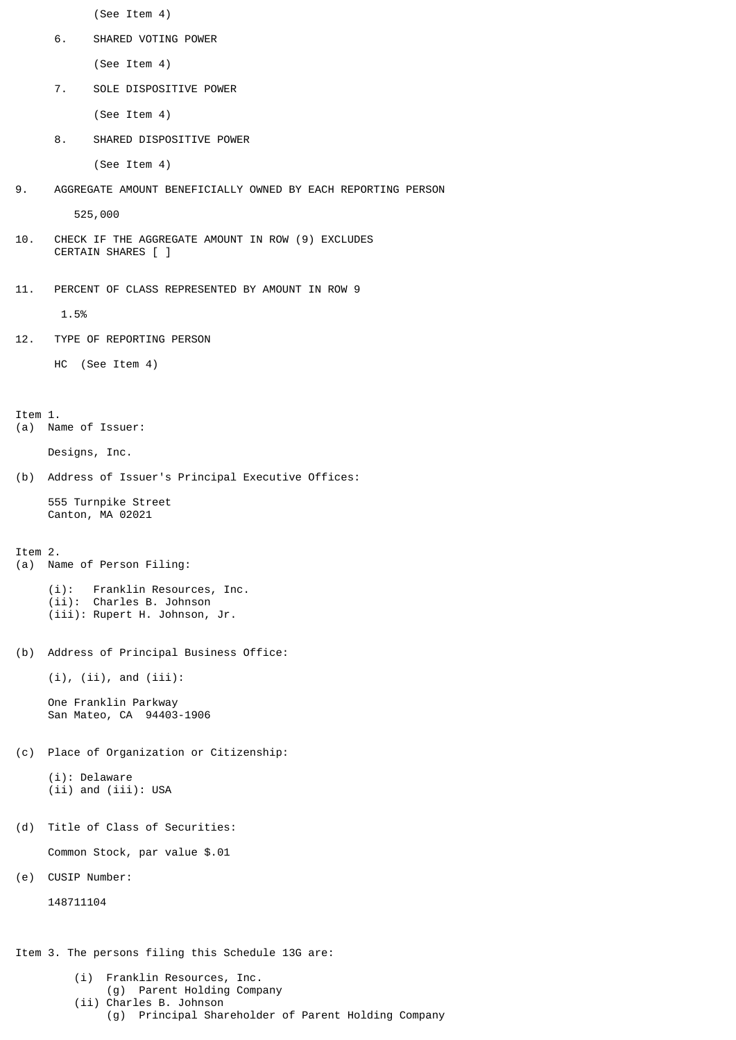(See Item 4)

6. SHARED VOTING POWER

(See Item 4)

7. SOLE DISPOSITIVE POWER

(See Item 4)

8. SHARED DISPOSITIVE POWER

(See Item 4)

9. AGGREGATE AMOUNT BENEFICIALLY OWNED BY EACH REPORTING PERSON

525,000

- 10. CHECK IF THE AGGREGATE AMOUNT IN ROW (9) EXCLUDES CERTAIN SHARES [ ]
- 11. PERCENT OF CLASS REPRESENTED BY AMOUNT IN ROW 9

1.5%

12. TYPE OF REPORTING PERSON

HC (See Item 4)

Item 1.

(a) Name of Issuer:

Designs, Inc.

(b) Address of Issuer's Principal Executive Offices:

 555 Turnpike Street Canton, MA 02021

Item 2.

(a) Name of Person Filing:

 (i): Franklin Resources, Inc. (ii): Charles B. Johnson (iii): Rupert H. Johnson, Jr.

(b) Address of Principal Business Office:

 $(i)$ ,  $(ii)$ , and  $(iii)$ :

 One Franklin Parkway San Mateo, CA 94403-1906

(c) Place of Organization or Citizenship:

 (i): Delaware (ii) and (iii): USA

(d) Title of Class of Securities:

Common Stock, par value \$.01

(e) CUSIP Number:

148711104

Item 3. The persons filing this Schedule 13G are:

- (i) Franklin Resources, Inc.
- (g) Parent Holding Company
- (ii) Charles B. Johnson
	- (g) Principal Shareholder of Parent Holding Company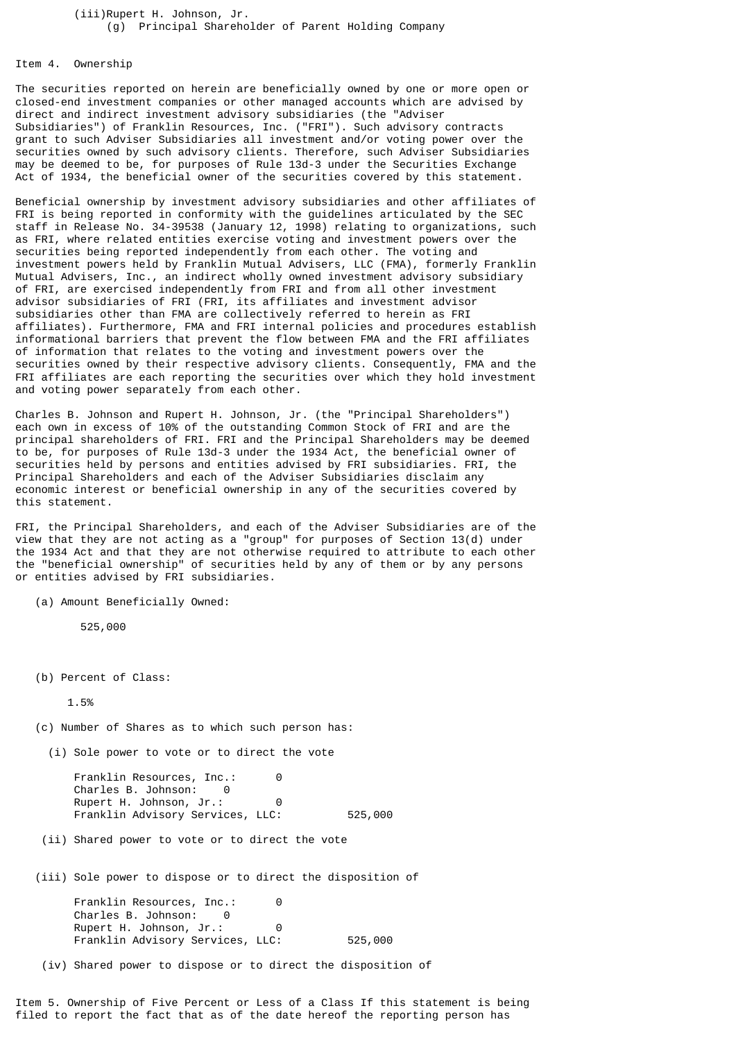## (iii)Rupert H. Johnson, Jr. (g) Principal Shareholder of Parent Holding Company

## Item 4. Ownership

The securities reported on herein are beneficially owned by one or more open or closed-end investment companies or other managed accounts which are advised by direct and indirect investment advisory subsidiaries (the "Adviser Subsidiaries") of Franklin Resources, Inc. ("FRI"). Such advisory contracts grant to such Adviser Subsidiaries all investment and/or voting power over the securities owned by such advisory clients. Therefore, such Adviser Subsidiaries may be deemed to be, for purposes of Rule 13d-3 under the Securities Exchange Act of 1934, the beneficial owner of the securities covered by this statement.

Beneficial ownership by investment advisory subsidiaries and other affiliates of FRI is being reported in conformity with the guidelines articulated by the SEC staff in Release No. 34-39538 (January 12, 1998) relating to organizations, such as FRI, where related entities exercise voting and investment powers over the securities being reported independently from each other. The voting and investment powers held by Franklin Mutual Advisers, LLC (FMA), formerly Franklin Mutual Advisers, Inc., an indirect wholly owned investment advisory subsidiary of FRI, are exercised independently from FRI and from all other investment advisor subsidiaries of FRI (FRI, its affiliates and investment advisor subsidiaries other than FMA are collectively referred to herein as FRI affiliates). Furthermore, FMA and FRI internal policies and procedures establish informational barriers that prevent the flow between FMA and the FRI affiliates of information that relates to the voting and investment powers over the securities owned by their respective advisory clients. Consequently, FMA and the FRI affiliates are each reporting the securities over which they hold investment and voting power separately from each other.

Charles B. Johnson and Rupert H. Johnson, Jr. (the "Principal Shareholders") each own in excess of 10% of the outstanding Common Stock of FRI and are the principal shareholders of FRI. FRI and the Principal Shareholders may be deemed to be, for purposes of Rule 13d-3 under the 1934 Act, the beneficial owner of securities held by persons and entities advised by FRI subsidiaries. FRI, the Principal Shareholders and each of the Adviser Subsidiaries disclaim any economic interest or beneficial ownership in any of the securities covered by this statement.

FRI, the Principal Shareholders, and each of the Adviser Subsidiaries are of the view that they are not acting as a "group" for purposes of Section 13(d) under the 1934 Act and that they are not otherwise required to attribute to each other the "beneficial ownership" of securities held by any of them or by any persons or entities advised by FRI subsidiaries.

(a) Amount Beneficially Owned:

525,000

(b) Percent of Class:

1.5%

(c) Number of Shares as to which such person has:

(i) Sole power to vote or to direct the vote

Franklin Resources, Inc.: 0 Charles B. Johnson: 0 Rupert H. Johnson, Jr.: 0 Franklin Advisory Services, LLC: 525,000

(ii) Shared power to vote or to direct the vote

(iii) Sole power to dispose or to direct the disposition of

Franklin Resources, Inc.: 0 Charles B. Johnson: 0 Rupert H. Johnson, Jr.: 0 Franklin Advisory Services, LLC: 525,000

(iv) Shared power to dispose or to direct the disposition of

Item 5. Ownership of Five Percent or Less of a Class If this statement is being filed to report the fact that as of the date hereof the reporting person has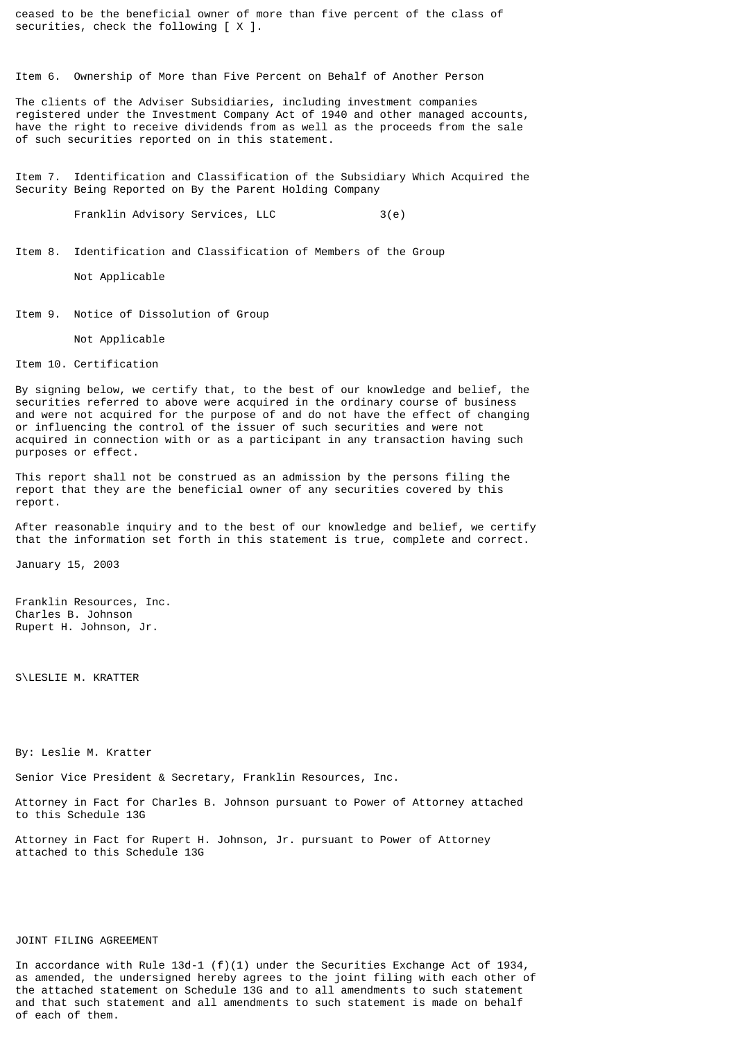ceased to be the beneficial owner of more than five percent of the class of securities, check the following  $[X]$ .

Item 6. Ownership of More than Five Percent on Behalf of Another Person

The clients of the Adviser Subsidiaries, including investment companies registered under the Investment Company Act of 1940 and other managed accounts, have the right to receive dividends from as well as the proceeds from the sale of such securities reported on in this statement.

Item 7. Identification and Classification of the Subsidiary Which Acquired the Security Being Reported on By the Parent Holding Company

Franklin Advisory Services, LLC 3(e)

Item 8. Identification and Classification of Members of the Group

Not Applicable

Item 9. Notice of Dissolution of Group

Not Applicable

Item 10. Certification

By signing below, we certify that, to the best of our knowledge and belief, the securities referred to above were acquired in the ordinary course of business and were not acquired for the purpose of and do not have the effect of changing or influencing the control of the issuer of such securities and were not acquired in connection with or as a participant in any transaction having such purposes or effect.

This report shall not be construed as an admission by the persons filing the report that they are the beneficial owner of any securities covered by this report.

After reasonable inquiry and to the best of our knowledge and belief, we certify that the information set forth in this statement is true, complete and correct.

January 15, 2003

Franklin Resources, Inc. Charles B. Johnson Rupert H. Johnson, Jr.

S\LESLIE M. KRATTER

By: Leslie M. Kratter

Senior Vice President & Secretary, Franklin Resources, Inc.

Attorney in Fact for Charles B. Johnson pursuant to Power of Attorney attached to this Schedule 13G

Attorney in Fact for Rupert H. Johnson, Jr. pursuant to Power of Attorney attached to this Schedule 13G

## JOINT FILING AGREEMENT

In accordance with Rule  $13d-1$  (f)(1) under the Securities Exchange Act of  $1934$ , as amended, the undersigned hereby agrees to the joint filing with each other of the attached statement on Schedule 13G and to all amendments to such statement and that such statement and all amendments to such statement is made on behalf of each of them.